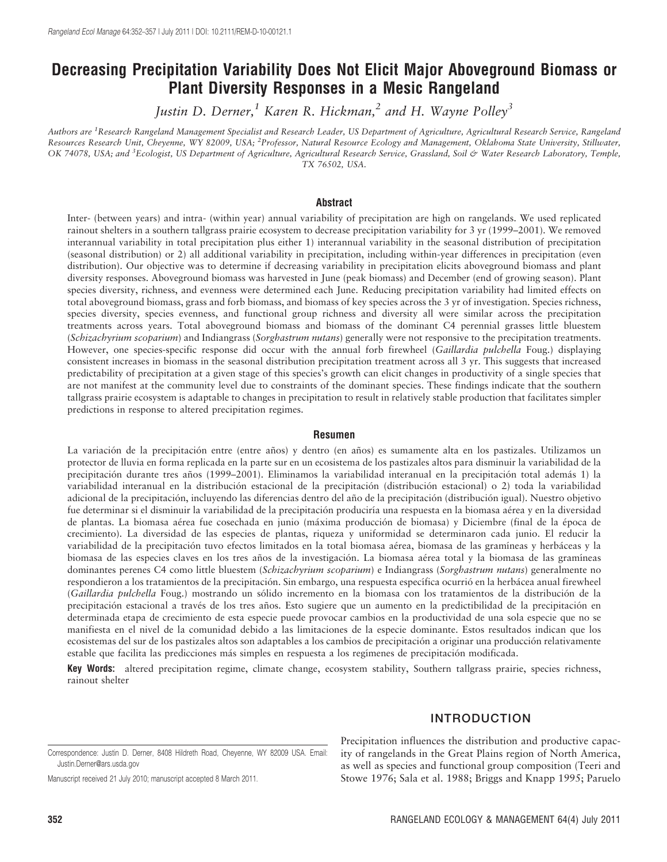# Decreasing Precipitation Variability Does Not Elicit Major Aboveground Biomass or Plant Diversity Responses in a Mesic Rangeland

Justin D. Derner,<sup>1</sup> Karen R. Hickman,<sup>2</sup> and H. Wayne Polley<sup>3</sup>

Authors are <sup>1</sup>Research Rangeland Management Specialist and Research Leader, US Department of Agriculture, Agricultural Research Service, Rangeland Resources Research Unit, Cheyenne, WY 82009, USA; <sup>2</sup>Professor, Natural Resource Ecology and Management, Oklahoma State University, Stillwater, OK 74078, USA; and <sup>3</sup>Ecologist, US Department of Agriculture, Agricultural Research Service, Grassland, Soil & Water Research Laboratory, Temple, TX 76502, USA.

#### Abstract

Inter- (between years) and intra- (within year) annual variability of precipitation are high on rangelands. We used replicated rainout shelters in a southern tallgrass prairie ecosystem to decrease precipitation variability for 3 yr (1999–2001). We removed interannual variability in total precipitation plus either 1) interannual variability in the seasonal distribution of precipitation (seasonal distribution) or 2) all additional variability in precipitation, including within-year differences in precipitation (even distribution). Our objective was to determine if decreasing variability in precipitation elicits aboveground biomass and plant diversity responses. Aboveground biomass was harvested in June (peak biomass) and December (end of growing season). Plant species diversity, richness, and evenness were determined each June. Reducing precipitation variability had limited effects on total aboveground biomass, grass and forb biomass, and biomass of key species across the 3 yr of investigation. Species richness, species diversity, species evenness, and functional group richness and diversity all were similar across the precipitation treatments across years. Total aboveground biomass and biomass of the dominant C4 perennial grasses little bluestem (Schizachyrium scoparium) and Indiangrass (Sorghastrum nutans) generally were not responsive to the precipitation treatments. However, one species-specific response did occur with the annual forb firewheel (Gaillardia pulchella Foug.) displaying consistent increases in biomass in the seasonal distribution precipitation treatment across all 3 yr. This suggests that increased predictability of precipitation at a given stage of this species's growth can elicit changes in productivity of a single species that are not manifest at the community level due to constraints of the dominant species. These findings indicate that the southern tallgrass prairie ecosystem is adaptable to changes in precipitation to result in relatively stable production that facilitates simpler predictions in response to altered precipitation regimes.

#### Resumen

La variación de la precipitación entre (entre años) y dentro (en años) es sumamente alta en los pastizales. Utilizamos un protector de lluvia en forma replicada en la parte sur en un ecosistema de los pastizales altos para disminuir la variabilidad de la precipitación durante tres años (1999–2001). Eliminamos la variabilidad interanual en la precipitación total además 1) la variabilidad interanual en la distribución estacional de la precipitación (distribución estacional) o 2) toda la variabilidad adicional de la precipitación, incluyendo las diferencias dentro del año de la precipitación (distribución igual). Nuestro objetivo fue determinar si el disminuir la variabilidad de la precipitación produciría una respuesta en la biomasa aérea y en la diversidad de plantas. La biomasa aérea fue cosechada en junio (máxima producción de biomasa) y Diciembre (final de la época de crecimiento). La diversidad de las especies de plantas, riqueza y uniformidad se determinaron cada junio. El reducir la variabilidad de la precipitación tuvo efectos limitados en la total biomasa aérea, biomasa de las gramíneas y herbáceas y la biomasa de las especies claves en los tres años de la investigación. La biomasa aérea total y la biomasa de las gramíneas dominantes perenes C4 como little bluestem (Schizachyrium scoparium) e Indiangrass (Sorghastrum nutans) generalmente no respondieron a los tratamientos de la precipitación. Sin embargo, una respuesta específica ocurrió en la herbácea anual firewheel (Gaillardia pulchella Foug.) mostrando un sólido incremento en la biomasa con los tratamientos de la distribución de la precipitación estacional a través de los tres años. Esto sugiere que un aumento en la predictibilidad de la precipitación en determinada etapa de crecimiento de esta especie puede provocar cambios en la productividad de una sola especie que no se manifiesta en el nivel de la comunidad debido a las limitaciones de la especie dominante. Estos resultados indican que los ecosistemas del sur de los pastizales altos son adaptables a los cambios de precipitación a originar una producción relativamente estable que facilita las predicciones más simples en respuesta a los regímenes de precipitación modificada.

Key Words: altered precipitation regime, climate change, ecosystem stability, Southern tallgrass prairie, species richness, rainout shelter

### INTRODUCTION

Manuscript received 21 July 2010; manuscript accepted 8 March 2011.

Precipitation influences the distribution and productive capacity of rangelands in the Great Plains region of North America, as well as species and functional group composition (Teeri and Stowe 1976; Sala et al. 1988; Briggs and Knapp 1995; Paruelo

Correspondence: Justin D. Derner, 8408 Hildreth Road, Cheyenne, WY 82009 USA. Email: Justin.Derner@ars.usda.gov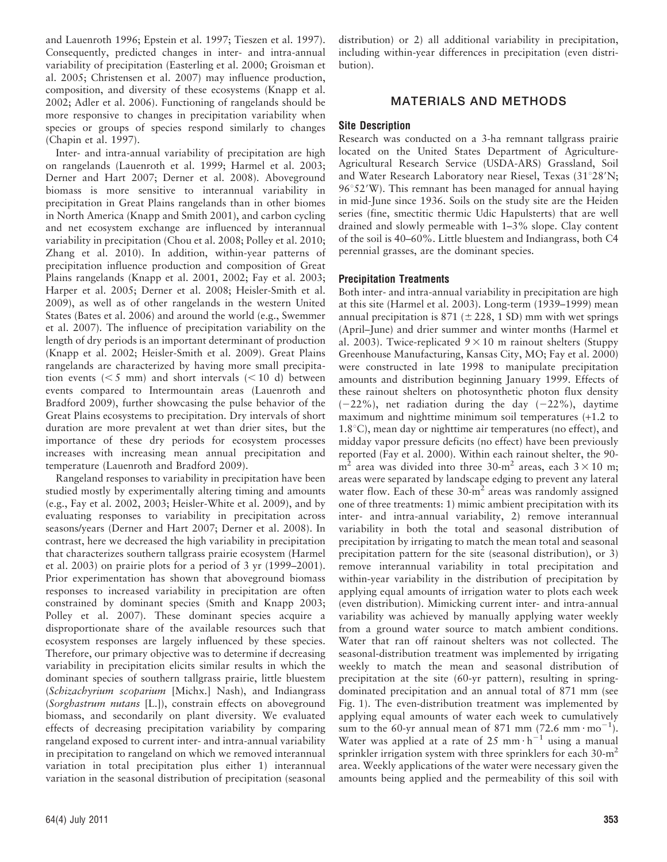and Lauenroth 1996; Epstein et al. 1997; Tieszen et al. 1997). Consequently, predicted changes in inter- and intra-annual variability of precipitation (Easterling et al. 2000; Groisman et al. 2005; Christensen et al. 2007) may influence production, composition, and diversity of these ecosystems (Knapp et al. 2002; Adler et al. 2006). Functioning of rangelands should be more responsive to changes in precipitation variability when species or groups of species respond similarly to changes (Chapin et al. 1997).

Inter- and intra-annual variability of precipitation are high on rangelands (Lauenroth et al. 1999; Harmel et al. 2003; Derner and Hart 2007; Derner et al. 2008). Aboveground biomass is more sensitive to interannual variability in precipitation in Great Plains rangelands than in other biomes in North America (Knapp and Smith 2001), and carbon cycling and net ecosystem exchange are influenced by interannual variability in precipitation (Chou et al. 2008; Polley et al. 2010; Zhang et al. 2010). In addition, within-year patterns of precipitation influence production and composition of Great Plains rangelands (Knapp et al. 2001, 2002; Fay et al. 2003; Harper et al. 2005; Derner et al. 2008; Heisler-Smith et al. 2009), as well as of other rangelands in the western United States (Bates et al. 2006) and around the world (e.g., Swemmer et al. 2007). The influence of precipitation variability on the length of dry periods is an important determinant of production (Knapp et al. 2002; Heisler-Smith et al. 2009). Great Plains rangelands are characterized by having more small precipitation events ( $\leq$  5 mm) and short intervals ( $\leq$  10 d) between events compared to Intermountain areas (Lauenroth and Bradford 2009), further showcasing the pulse behavior of the Great Plains ecosystems to precipitation. Dry intervals of short duration are more prevalent at wet than drier sites, but the importance of these dry periods for ecosystem processes increases with increasing mean annual precipitation and temperature (Lauenroth and Bradford 2009).

Rangeland responses to variability in precipitation have been studied mostly by experimentally altering timing and amounts (e.g., Fay et al. 2002, 2003; Heisler-White et al. 2009), and by evaluating responses to variability in precipitation across seasons/years (Derner and Hart 2007; Derner et al. 2008). In contrast, here we decreased the high variability in precipitation that characterizes southern tallgrass prairie ecosystem (Harmel et al. 2003) on prairie plots for a period of 3 yr (1999–2001). Prior experimentation has shown that aboveground biomass responses to increased variability in precipitation are often constrained by dominant species (Smith and Knapp 2003; Polley et al. 2007). These dominant species acquire a disproportionate share of the available resources such that ecosystem responses are largely influenced by these species. Therefore, our primary objective was to determine if decreasing variability in precipitation elicits similar results in which the dominant species of southern tallgrass prairie, little bluestem (Schizachyrium scoparium [Michx.] Nash), and Indiangrass (Sorghastrum nutans [L.]), constrain effects on aboveground biomass, and secondarily on plant diversity. We evaluated effects of decreasing precipitation variability by comparing rangeland exposed to current inter- and intra-annual variability in precipitation to rangeland on which we removed interannual variation in total precipitation plus either 1) interannual variation in the seasonal distribution of precipitation (seasonal

distribution) or 2) all additional variability in precipitation, including within-year differences in precipitation (even distribution).

## MATERIALS AND METHODS

## Site Description

Research was conducted on a 3-ha remnant tallgrass prairie located on the United States Department of Agriculture-Agricultural Research Service (USDA-ARS) Grassland, Soil and Water Research Laboratory near Riesel, Texas (31°28'N;  $96°52'W$ ). This remnant has been managed for annual haying in mid-June since 1936. Soils on the study site are the Heiden series (fine, smectitic thermic Udic Hapulsterts) that are well drained and slowly permeable with 1–3% slope. Clay content of the soil is 40–60%. Little bluestem and Indiangrass, both C4 perennial grasses, are the dominant species.

## Precipitation Treatments

Both inter- and intra-annual variability in precipitation are high at this site (Harmel et al. 2003). Long-term (1939–1999) mean annual precipitation is 871 ( $\pm$  228, 1 SD) mm with wet springs (April–June) and drier summer and winter months (Harmel et al. 2003). Twice-replicated  $9 \times 10$  m rainout shelters (Stuppy Greenhouse Manufacturing, Kansas City, MO; Fay et al. 2000) were constructed in late 1998 to manipulate precipitation amounts and distribution beginning January 1999. Effects of these rainout shelters on photosynthetic photon flux density  $(-22\%)$ , net radiation during the day  $(-22\%)$ , daytime maximum and nighttime minimum soil temperatures (+1.2 to  $1.8^{\circ}$ C), mean day or nighttime air temperatures (no effect), and midday vapor pressure deficits (no effect) have been previously reported (Fay et al. 2000). Within each rainout shelter, the 90  $m<sup>2</sup>$  area was divided into three 30-m<sup>2</sup> areas, each 3 × 10 m; areas were separated by landscape edging to prevent any lateral water flow. Each of these  $30 \text{-} m^2$  areas was randomly assigned one of three treatments: 1) mimic ambient precipitation with its inter- and intra-annual variability, 2) remove interannual variability in both the total and seasonal distribution of precipitation by irrigating to match the mean total and seasonal precipitation pattern for the site (seasonal distribution), or 3) remove interannual variability in total precipitation and within-year variability in the distribution of precipitation by applying equal amounts of irrigation water to plots each week (even distribution). Mimicking current inter- and intra-annual variability was achieved by manually applying water weekly from a ground water source to match ambient conditions. Water that ran off rainout shelters was not collected. The seasonal-distribution treatment was implemented by irrigating weekly to match the mean and seasonal distribution of precipitation at the site (60-yr pattern), resulting in springdominated precipitation and an annual total of 871 mm (see Fig. 1). The even-distribution treatment was implemented by applying equal amounts of water each week to cumulatively sum to the 60-yr annual mean of 871 mm (72.6 mm $\cdot$ mo<sup>-1</sup>). Water was applied at a rate of 25 mm $\cdot$  h<sup>-1</sup> using a manual sprinkler irrigation system with three sprinklers for each 30-m<sup>2</sup> area. Weekly applications of the water were necessary given the amounts being applied and the permeability of this soil with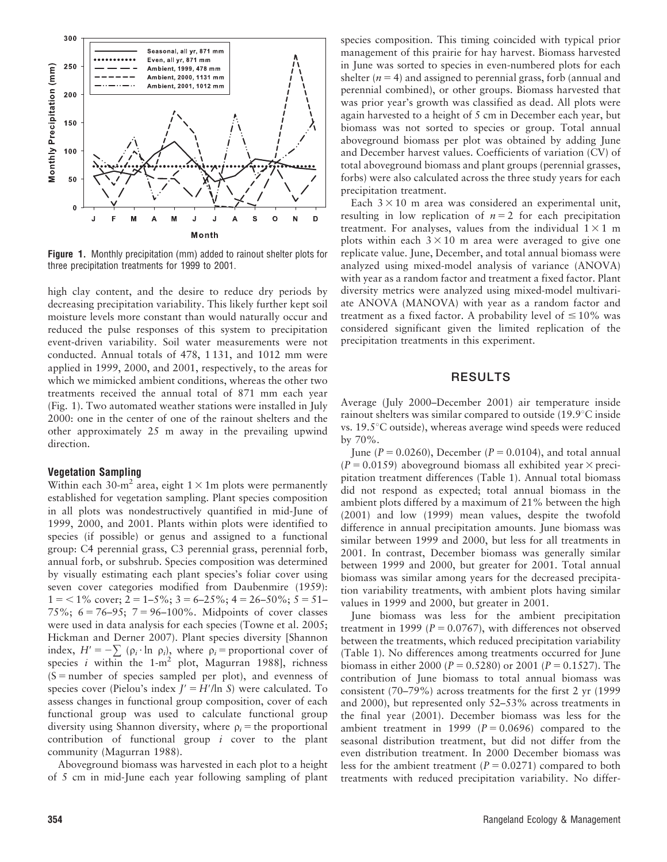

Figure 1. Monthly precipitation (mm) added to rainout shelter plots for three precipitation treatments for 1999 to 2001.

high clay content, and the desire to reduce dry periods by decreasing precipitation variability. This likely further kept soil moisture levels more constant than would naturally occur and reduced the pulse responses of this system to precipitation event-driven variability. Soil water measurements were not conducted. Annual totals of 478, 1 131, and 1012 mm were applied in 1999, 2000, and 2001, respectively, to the areas for which we mimicked ambient conditions, whereas the other two treatments received the annual total of 871 mm each year (Fig. 1). Two automated weather stations were installed in July 2000: one in the center of one of the rainout shelters and the other approximately 25 m away in the prevailing upwind direction.

#### Vegetation Sampling

Within each 30-m<sup>2</sup> area, eight  $1 \times 1$ m plots were permanently established for vegetation sampling. Plant species composition in all plots was nondestructively quantified in mid-June of 1999, 2000, and 2001. Plants within plots were identified to species (if possible) or genus and assigned to a functional group: C4 perennial grass, C3 perennial grass, perennial forb, annual forb, or subshrub. Species composition was determined by visually estimating each plant species's foliar cover using seven cover categories modified from Daubenmire (1959):  $1 = 1\%$  cover;  $2 = 1-5\%$ ;  $3 = 6-25\%$ ;  $4 = 26-50\%$ ;  $5 = 51-$ 75%;  $6 = 76-95$ ;  $7 = 96-100$ %. Midpoints of cover classes were used in data analysis for each species (Towne et al. 2005; Hickman and Derner 2007). Plant species diversity [Shannon index,  $H' = -\sum (\rho_i \cdot \ln \rho_i)$ , where  $\rho_i$  = proportional cover of species *i* within the  $1-m^2$  plot, Magurran 1988], richness  $(S = number of species sampled per plot)$ , and evenness of species cover (Pielou's index  $J' = H'/\ln S$ ) were calculated. To assess changes in functional group composition, cover of each functional group was used to calculate functional group diversity using Shannon diversity, where  $\rho_i$  = the proportional contribution of functional group  $i$  cover to the plant community (Magurran 1988).

Aboveground biomass was harvested in each plot to a height of 5 cm in mid-June each year following sampling of plant species composition. This timing coincided with typical prior management of this prairie for hay harvest. Biomass harvested in June was sorted to species in even-numbered plots for each shelter ( $n = 4$ ) and assigned to perennial grass, forb (annual and perennial combined), or other groups. Biomass harvested that was prior year's growth was classified as dead. All plots were again harvested to a height of 5 cm in December each year, but biomass was not sorted to species or group. Total annual aboveground biomass per plot was obtained by adding June and December harvest values. Coefficients of variation (CV) of total aboveground biomass and plant groups (perennial grasses, forbs) were also calculated across the three study years for each precipitation treatment.

Each  $3 \times 10$  m area was considered an experimental unit, resulting in low replication of  $n = 2$  for each precipitation treatment. For analyses, values from the individual  $1 \times 1$  m plots within each  $3 \times 10$  m area were averaged to give one replicate value. June, December, and total annual biomass were analyzed using mixed-model analysis of variance (ANOVA) with year as a random factor and treatment a fixed factor. Plant diversity metrics were analyzed using mixed-model multivariate ANOVA (MANOVA) with year as a random factor and treatment as a fixed factor. A probability level of  $\leq 10\%$  was considered significant given the limited replication of the precipitation treatments in this experiment.

### RESULTS

Average (July 2000–December 2001) air temperature inside rainout shelters was similar compared to outside (19.9°C inside vs.  $19.5^{\circ}$ C outside), whereas average wind speeds were reduced by 70%.

June ( $P = 0.0260$ ), December ( $P = 0.0104$ ), and total annual  $(P = 0.0159)$  aboveground biomass all exhibited year  $\times$  precipitation treatment differences (Table 1). Annual total biomass did not respond as expected; total annual biomass in the ambient plots differed by a maximum of 21% between the high (2001) and low (1999) mean values, despite the twofold difference in annual precipitation amounts. June biomass was similar between 1999 and 2000, but less for all treatments in 2001. In contrast, December biomass was generally similar between 1999 and 2000, but greater for 2001. Total annual biomass was similar among years for the decreased precipitation variability treatments, with ambient plots having similar values in 1999 and 2000, but greater in 2001.

June biomass was less for the ambient precipitation treatment in 1999 ( $P = 0.0767$ ), with differences not observed between the treatments, which reduced precipitation variability (Table 1). No differences among treatments occurred for June biomass in either 2000 ( $P = 0.5280$ ) or 2001 ( $P = 0.1527$ ). The contribution of June biomass to total annual biomass was consistent (70–79%) across treatments for the first 2 yr (1999 and 2000), but represented only 52–53% across treatments in the final year (2001). December biomass was less for the ambient treatment in 1999 ( $P = 0.0696$ ) compared to the seasonal distribution treatment, but did not differ from the even distribution treatment. In 2000 December biomass was less for the ambient treatment ( $P = 0.0271$ ) compared to both treatments with reduced precipitation variability. No differ-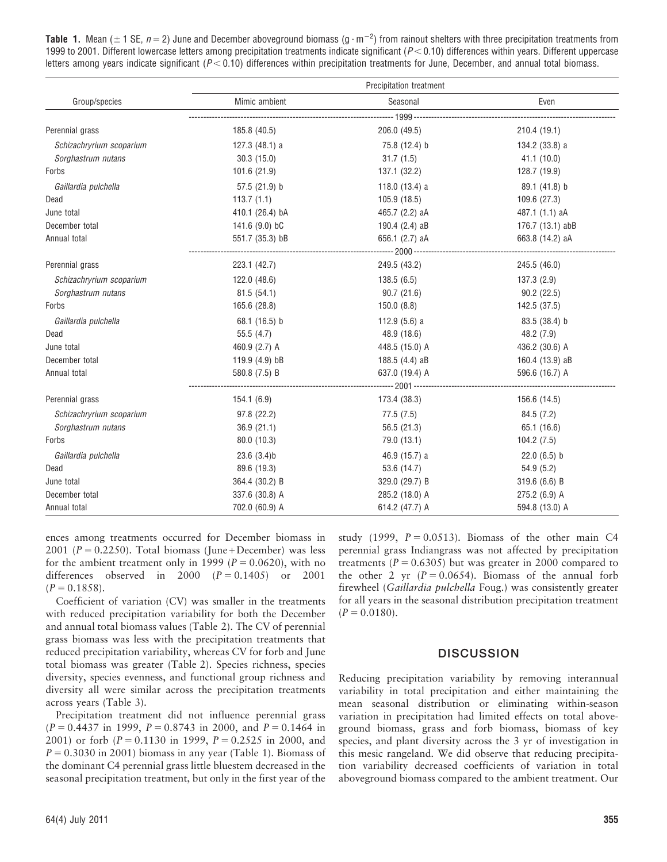**Table 1.** Mean ( $\pm$  1 SE,  $n$  = 2) June and December aboveground biomass (g  $\cdot$  m $^{-2}$ ) from rainout shelters with three precipitation treatments from 1999 to 2001. Different lowercase letters among precipitation treatments indicate significant ( $P < 0.10$ ) differences within years. Different uppercase letters among years indicate significant ( $P < 0.10$ ) differences within precipitation treatments for June, December, and annual total biomass.

|                          | Precipitation treatment |                  |                  |  |  |
|--------------------------|-------------------------|------------------|------------------|--|--|
| Group/species            | Mimic ambient           | Seasonal         | Even             |  |  |
|                          |                         |                  |                  |  |  |
| Perennial grass          | 185.8 (40.5)            | 206.0 (49.5)     | 210.4(19.1)      |  |  |
| Schizachryrium scoparium | 127.3(48.1)a            | 75.8 (12.4) b    | 134.2 (33.8) a   |  |  |
| Sorghastrum nutans       | 30.3(15.0)              | 31.7(1.5)        | 41.1(10.0)       |  |  |
| Forbs                    | 101.6(21.9)             | 137.1 (32.2)     | 128.7 (19.9)     |  |  |
| Gaillardia pulchella     | 57.5 (21.9) b           | 118.0 $(13.4)$ a | 89.1 (41.8) b    |  |  |
| Dead                     | 113.7(1.1)              | 105.9(18.5)      | 109.6 (27.3)     |  |  |
| June total               | 410.1 (26.4) bA         | 465.7 (2.2) aA   | 487.1 (1.1) aA   |  |  |
| December total           | 141.6 (9.0) bC          | 190.4 (2.4) aB   | 176.7 (13.1) abB |  |  |
| Annual total             | 551.7 (35.3) bB         | 656.1 (2.7) aA   | 663.8 (14.2) aA  |  |  |
|                          |                         |                  |                  |  |  |
| Perennial grass          | 223.1 (42.7)            | 249.5 (43.2)     | 245.5 (46.0)     |  |  |
| Schizachryrium scoparium | 122.0(48.6)             | 138.5(6.5)       | 137.3(2.9)       |  |  |
| Sorghastrum nutans       | 81.5(54.1)              | 90.7(21.6)       | 90.2(22.5)       |  |  |
| Forbs                    | 165.6 (28.8)            | 150.0(8.8)       | 142.5 (37.5)     |  |  |
| Gaillardia pulchella     | 68.1 (16.5) b           | 112.9 $(5.6)$ a  | 83.5 (38.4) b    |  |  |
| Dead                     | 55.5(4.7)               | 48.9 (18.6)      | 48.2 (7.9)       |  |  |
| June total               | 460.9 (2.7) A           | 448.5 (15.0) A   | 436.2 (30.6) A   |  |  |
| December total           | 119.9 (4.9) bB          | 188.5 (4.4) aB   | 160.4 (13.9) aB  |  |  |
| Annual total             | 580.8 (7.5) B           | 637.0 (19.4) A   | 596.6 (16.7) A   |  |  |
|                          |                         |                  |                  |  |  |
| Perennial grass          | 154.1(6.9)              | 173.4 (38.3)     | 156.6 (14.5)     |  |  |
| Schizachryrium scoparium | 97.8 (22.2)             | 77.5 (7.5)       | 84.5 (7.2)       |  |  |
| Sorghastrum nutans       | 36.9(21.1)              | 56.5 (21.3)      | 65.1 (16.6)      |  |  |
| Forbs                    | 80.0 (10.3)             | 79.0 (13.1)      | 104.2(7.5)       |  |  |
| Gaillardia pulchella     | 23.6(3.4)b              | 46.9 (15.7) a    | $22.0(6.5)$ b    |  |  |
| Dead                     | 89.6 (19.3)             | 53.6 (14.7)      | 54.9(5.2)        |  |  |
| June total               | 364.4 (30.2) B          | 329.0 (29.7) B   | 319.6(6.6)B      |  |  |
| December total           | 337.6 (30.8) A          | 285.2 (18.0) A   | 275.2 (6.9) A    |  |  |
| Annual total             | 702.0 (60.9) A          | 614.2 (47.7) A   | 594.8 (13.0) A   |  |  |

ences among treatments occurred for December biomass in 2001 ( $P = 0.2250$ ). Total biomass (June + December) was less for the ambient treatment only in 1999 ( $P = 0.0620$ ), with no differences observed in 2000  $(P = 0.1405)$  or 2001  $(P = 0.1858)$ .

Coefficient of variation (CV) was smaller in the treatments with reduced precipitation variability for both the December and annual total biomass values (Table 2). The CV of perennial grass biomass was less with the precipitation treatments that reduced precipitation variability, whereas CV for forb and June total biomass was greater (Table 2). Species richness, species diversity, species evenness, and functional group richness and diversity all were similar across the precipitation treatments across years (Table 3).

Precipitation treatment did not influence perennial grass  $(P = 0.4437$  in 1999,  $P = 0.8743$  in 2000, and  $P = 0.1464$  in 2001) or forb  $(P = 0.1130$  in 1999,  $P = 0.2525$  in 2000, and  $P = 0.3030$  in 2001) biomass in any year (Table 1). Biomass of the dominant C4 perennial grass little bluestem decreased in the seasonal precipitation treatment, but only in the first year of the

study (1999,  $P = 0.0513$ ). Biomass of the other main C4 perennial grass Indiangrass was not affected by precipitation treatments ( $P = 0.6305$ ) but was greater in 2000 compared to the other 2 yr  $(P = 0.0654)$ . Biomass of the annual forb firewheel (Gaillardia pulchella Foug.) was consistently greater for all years in the seasonal distribution precipitation treatment  $(P = 0.0180)$ .

#### **DISCUSSION**

Reducing precipitation variability by removing interannual variability in total precipitation and either maintaining the mean seasonal distribution or eliminating within-season variation in precipitation had limited effects on total aboveground biomass, grass and forb biomass, biomass of key species, and plant diversity across the 3 yr of investigation in this mesic rangeland. We did observe that reducing precipitation variability decreased coefficients of variation in total aboveground biomass compared to the ambient treatment. Our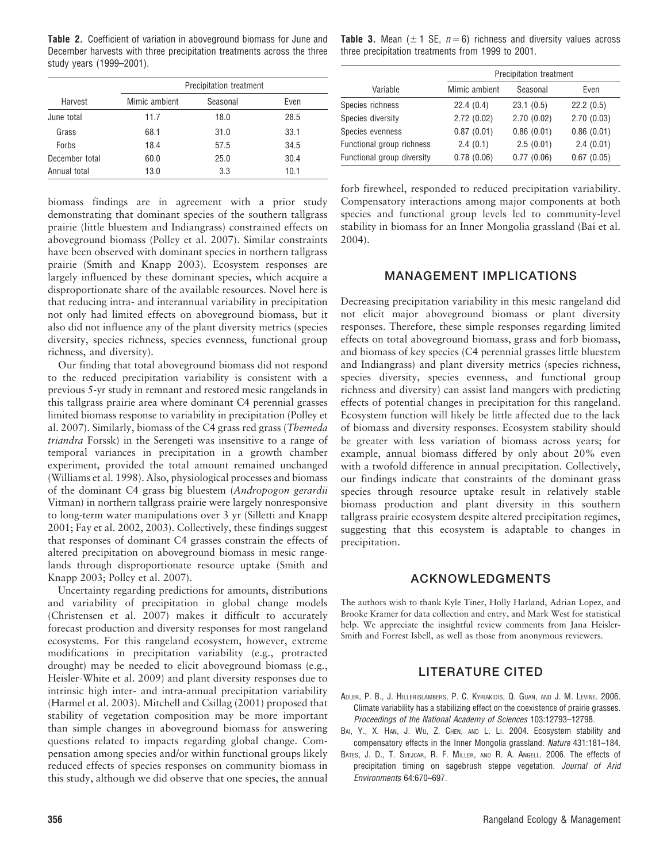Table 2. Coefficient of variation in aboveground biomass for June and December harvests with three precipitation treatments across the three study years (1999–2001).

|                | Precipitation treatment |          |      |  |
|----------------|-------------------------|----------|------|--|
| Harvest        | Mimic ambient           | Seasonal | Even |  |
| June total     | 11.7                    | 18.0     | 28.5 |  |
| Grass          | 68.1                    | 31.0     | 33.1 |  |
| Forbs          | 18.4                    | 57.5     | 34.5 |  |
| December total | 60.0                    | 25.0     | 30.4 |  |
| Annual total   | 13.0                    | 3.3      | 10.1 |  |

biomass findings are in agreement with a prior study demonstrating that dominant species of the southern tallgrass prairie (little bluestem and Indiangrass) constrained effects on aboveground biomass (Polley et al. 2007). Similar constraints have been observed with dominant species in northern tallgrass prairie (Smith and Knapp 2003). Ecosystem responses are largely influenced by these dominant species, which acquire a disproportionate share of the available resources. Novel here is that reducing intra- and interannual variability in precipitation not only had limited effects on aboveground biomass, but it also did not influence any of the plant diversity metrics (species diversity, species richness, species evenness, functional group richness, and diversity).

Our finding that total aboveground biomass did not respond to the reduced precipitation variability is consistent with a previous 5-yr study in remnant and restored mesic rangelands in this tallgrass prairie area where dominant C4 perennial grasses limited biomass response to variability in precipitation (Polley et al. 2007). Similarly, biomass of the C4 grass red grass (Themeda triandra Forssk) in the Serengeti was insensitive to a range of temporal variances in precipitation in a growth chamber experiment, provided the total amount remained unchanged (Williams et al. 1998). Also, physiological processes and biomass of the dominant C4 grass big bluestem (Andropogon gerardii Vitman) in northern tallgrass prairie were largely nonresponsive to long-term water manipulations over 3 yr (Silletti and Knapp 2001; Fay et al. 2002, 2003). Collectively, these findings suggest that responses of dominant C4 grasses constrain the effects of altered precipitation on aboveground biomass in mesic rangelands through disproportionate resource uptake (Smith and Knapp 2003; Polley et al. 2007).

Uncertainty regarding predictions for amounts, distributions and variability of precipitation in global change models (Christensen et al. 2007) makes it difficult to accurately forecast production and diversity responses for most rangeland ecosystems. For this rangeland ecosystem, however, extreme modifications in precipitation variability (e.g., protracted drought) may be needed to elicit aboveground biomass (e.g., Heisler-White et al. 2009) and plant diversity responses due to intrinsic high inter- and intra-annual precipitation variability (Harmel et al. 2003). Mitchell and Csillag (2001) proposed that stability of vegetation composition may be more important than simple changes in aboveground biomass for answering questions related to impacts regarding global change. Compensation among species and/or within functional groups likely reduced effects of species responses on community biomass in this study, although we did observe that one species, the annual

**Table 3.** Mean ( $\pm$  1 SE,  $n = 6$ ) richness and diversity values across three precipitation treatments from 1999 to 2001.

|                            | Precipitation treatment |            |            |  |
|----------------------------|-------------------------|------------|------------|--|
| Variable                   | Mimic ambient           | Seasonal   | Even       |  |
| Species richness           | 22.4(0.4)               | 23.1(0.5)  | 22.2(0.5)  |  |
| Species diversity          | 2.72(0.02)              | 2.70(0.02) | 2.70(0.03) |  |
| Species evenness           | 0.87(0.01)              | 0.86(0.01) | 0.86(0.01) |  |
| Functional group richness  | 2.4(0.1)                | 2.5(0.01)  | 2.4(0.01)  |  |
| Functional group diversity | 0.78(0.06)              | 0.77(0.06) | 0.67(0.05) |  |

forb firewheel, responded to reduced precipitation variability. Compensatory interactions among major components at both species and functional group levels led to community-level stability in biomass for an Inner Mongolia grassland (Bai et al. 2004).

#### MANAGEMENT IMPLICATIONS

Decreasing precipitation variability in this mesic rangeland did not elicit major aboveground biomass or plant diversity responses. Therefore, these simple responses regarding limited effects on total aboveground biomass, grass and forb biomass, and biomass of key species (C4 perennial grasses little bluestem and Indiangrass) and plant diversity metrics (species richness, species diversity, species evenness, and functional group richness and diversity) can assist land mangers with predicting effects of potential changes in precipitation for this rangeland. Ecosystem function will likely be little affected due to the lack of biomass and diversity responses. Ecosystem stability should be greater with less variation of biomass across years; for example, annual biomass differed by only about 20% even with a twofold difference in annual precipitation. Collectively, our findings indicate that constraints of the dominant grass species through resource uptake result in relatively stable biomass production and plant diversity in this southern tallgrass prairie ecosystem despite altered precipitation regimes, suggesting that this ecosystem is adaptable to changes in precipitation.

#### ACKNOWLEDGMENTS

The authors wish to thank Kyle Tiner, Holly Harland, Adrian Lopez, and Brooke Kramer for data collection and entry, and Mark West for statistical help. We appreciate the insightful review comments from Jana Heisler-Smith and Forrest Isbell, as well as those from anonymous reviewers.

#### LITERATURE CITED

- ADLER, P. B., J. HILLERISLAMBERS, P. C. KYRIAKIDIS, Q. GUAN, AND J. M. LEVINE. 2006. Climate variability has a stabilizing effect on the coexistence of prairie grasses. Proceedings of the National Academy of Sciences 103:12793–12798.
- BAI, Y., X. HAN, J. WU, Z. CHEN, AND L. LI. 2004. Ecosystem stability and compensatory effects in the Inner Mongolia grassland. Nature 431:181–184.
- BATES, J. D., T. SVEJCAR, R. F. MILLER, AND R. A. ANGELL. 2006. The effects of precipitation timing on sagebrush steppe vegetation. Journal of Arid Environments 64:670–697.